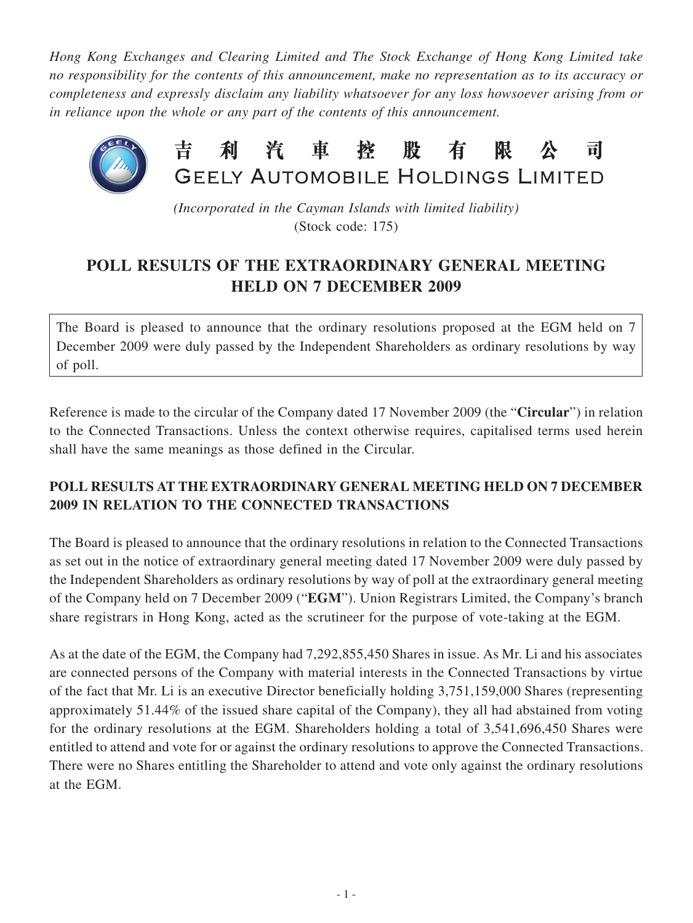*Hong Kong Exchanges and Clearing Limited and The Stock Exchange of Hong Kong Limited take no responsibility for the contents of this announcement, make no representation as to its accuracy or completeness and expressly disclaim any liability whatsoever for any loss howsoever arising from or in reliance upon the whole or any part of the contents of this announcement.*



*(Incorporated in the Cayman Islands with limited liability)* (Stock code: 175)

## **POLL RESULTS OF THE EXTRAORDINARY GENERAL MEETING HELD ON 7 DECEMBER 2009**

The Board is pleased to announce that the ordinary resolutions proposed at the EGM held on 7 December 2009 were duly passed by the Independent Shareholders as ordinary resolutions by way of poll.

Reference is made to the circular of the Company dated 17 November 2009 (the "**Circular**") in relation to the Connected Transactions. Unless the context otherwise requires, capitalised terms used herein shall have the same meanings as those defined in the Circular.

## **POLL RESULTS AT THE EXTRAORDINARY GENERAL MEETING HELD ON 7 DECEMBER 2009 IN RELATION TO THE CONNECTED TRANSACTIONS**

The Board is pleased to announce that the ordinary resolutions in relation to the Connected Transactions as set out in the notice of extraordinary general meeting dated 17 November 2009 were duly passed by the Independent Shareholders as ordinary resolutions by way of poll at the extraordinary general meeting of the Company held on 7 December 2009 ("**EGM**"). Union Registrars Limited, the Company's branch share registrars in Hong Kong, acted as the scrutineer for the purpose of vote-taking at the EGM.

As at the date of the EGM, the Company had 7,292,855,450 Shares in issue. As Mr. Li and his associates are connected persons of the Company with material interests in the Connected Transactions by virtue of the fact that Mr. Li is an executive Director beneficially holding 3,751,159,000 Shares (representing approximately 51.44% of the issued share capital of the Company), they all had abstained from voting for the ordinary resolutions at the EGM. Shareholders holding a total of 3,541,696,450 Shares were entitled to attend and vote for or against the ordinary resolutions to approve the Connected Transactions. There were no Shares entitling the Shareholder to attend and vote only against the ordinary resolutions at the EGM.